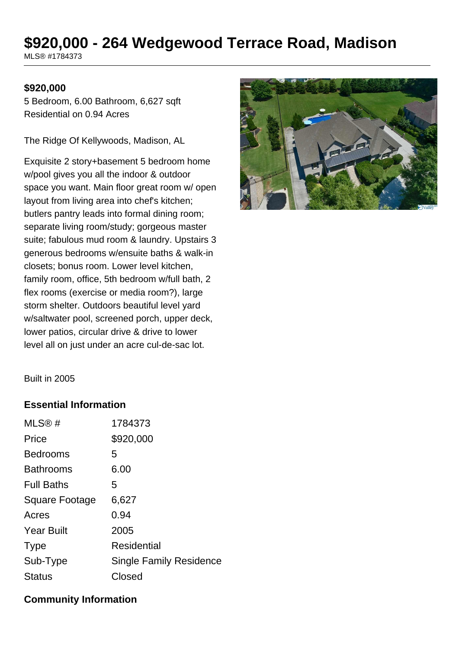# **\$920,000 - 264 Wedgewood Terrace Road, Madison**

MLS® #1784373

#### **\$920,000**

5 Bedroom, 6.00 Bathroom, 6,627 sqft Residential on 0.94 Acres

The Ridge Of Kellywoods, Madison, AL

Exquisite 2 story+basement 5 bedroom home w/pool gives you all the indoor & outdoor space you want. Main floor great room w/ open layout from living area into chef's kitchen; butlers pantry leads into formal dining room; separate living room/study; gorgeous master suite; fabulous mud room & laundry. Upstairs 3 generous bedrooms w/ensuite baths & walk-in closets; bonus room. Lower level kitchen, family room, office, 5th bedroom w/full bath, 2 flex rooms (exercise or media room?), large storm shelter. Outdoors beautiful level yard w/saltwater pool, screened porch, upper deck, lower patios, circular drive & drive to lower level all on just under an acre cul-de-sac lot.



Built in 2005

#### **Essential Information**

| 1784373                        |
|--------------------------------|
| \$920,000                      |
| 5                              |
| 6.00                           |
| 5                              |
| 6,627                          |
| 0.94                           |
| 2005                           |
| Residential                    |
| <b>Single Family Residence</b> |
| Closed                         |
|                                |

#### **Community Information**